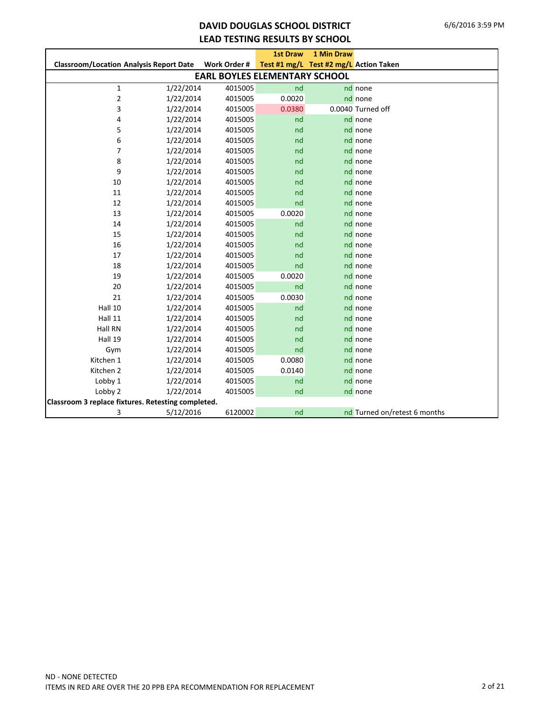### **DAVID DOUGLAS SCHOOL DISTRICT LEAD TESTING RESULTS BY SCHOOL**

|                                                    |           |                                      | <b>1st Draw</b>                        | 1 Min Draw |                              |
|----------------------------------------------------|-----------|--------------------------------------|----------------------------------------|------------|------------------------------|
| <b>Classroom/Location Analysis Report Date</b>     |           | Work Order #                         | Test #1 mg/L Test #2 mg/L Action Taken |            |                              |
|                                                    |           | <b>EARL BOYLES ELEMENTARY SCHOOL</b> |                                        |            |                              |
| $\mathbf{1}$                                       | 1/22/2014 | 4015005                              | nd                                     |            | nd none                      |
| $\mathbf 2$                                        | 1/22/2014 | 4015005                              | 0.0020                                 |            | nd none                      |
| 3                                                  | 1/22/2014 | 4015005                              | 0.0380                                 |            | 0.0040 Turned off            |
| 4                                                  | 1/22/2014 | 4015005                              | nd                                     |            | nd none                      |
| 5                                                  | 1/22/2014 | 4015005                              | nd                                     |            | nd none                      |
| 6                                                  | 1/22/2014 | 4015005                              | nd                                     |            | nd none                      |
| 7                                                  | 1/22/2014 | 4015005                              | nd                                     |            | nd none                      |
| 8                                                  | 1/22/2014 | 4015005                              | nd                                     |            | nd none                      |
| 9                                                  | 1/22/2014 | 4015005                              | nd                                     |            | nd none                      |
| 10                                                 | 1/22/2014 | 4015005                              | nd                                     |            | nd none                      |
| 11                                                 | 1/22/2014 | 4015005                              | nd                                     |            | nd none                      |
| 12                                                 | 1/22/2014 | 4015005                              | nd                                     |            | nd none                      |
| 13                                                 | 1/22/2014 | 4015005                              | 0.0020                                 |            | nd none                      |
| 14                                                 | 1/22/2014 | 4015005                              | nd                                     |            | nd none                      |
| 15                                                 | 1/22/2014 | 4015005                              | nd                                     |            | nd none                      |
| 16                                                 | 1/22/2014 | 4015005                              | nd                                     |            | nd none                      |
| 17                                                 | 1/22/2014 | 4015005                              | nd                                     |            | nd none                      |
| 18                                                 | 1/22/2014 | 4015005                              | nd                                     |            | nd none                      |
| 19                                                 | 1/22/2014 | 4015005                              | 0.0020                                 |            | nd none                      |
| 20                                                 | 1/22/2014 | 4015005                              | nd                                     |            | nd none                      |
| 21                                                 | 1/22/2014 | 4015005                              | 0.0030                                 |            | nd none                      |
| Hall 10                                            | 1/22/2014 | 4015005                              | nd                                     |            | nd none                      |
| Hall 11                                            | 1/22/2014 | 4015005                              | nd                                     |            | nd none                      |
| Hall RN                                            | 1/22/2014 | 4015005                              | nd                                     |            | nd none                      |
| Hall 19                                            | 1/22/2014 | 4015005                              | nd                                     |            | nd none                      |
| Gym                                                | 1/22/2014 | 4015005                              | nd                                     |            | nd none                      |
| Kitchen 1                                          | 1/22/2014 | 4015005                              | 0.0080                                 |            | nd none                      |
| Kitchen 2                                          | 1/22/2014 | 4015005                              | 0.0140                                 |            | nd none                      |
| Lobby 1                                            | 1/22/2014 | 4015005                              | nd                                     |            | nd none                      |
| Lobby 2                                            | 1/22/2014 | 4015005                              | nd                                     |            | nd none                      |
| Classroom 3 replace fixtures. Retesting completed. |           |                                      |                                        |            |                              |
| 3                                                  | 5/12/2016 | 6120002                              | nd                                     |            | nd Turned on/retest 6 months |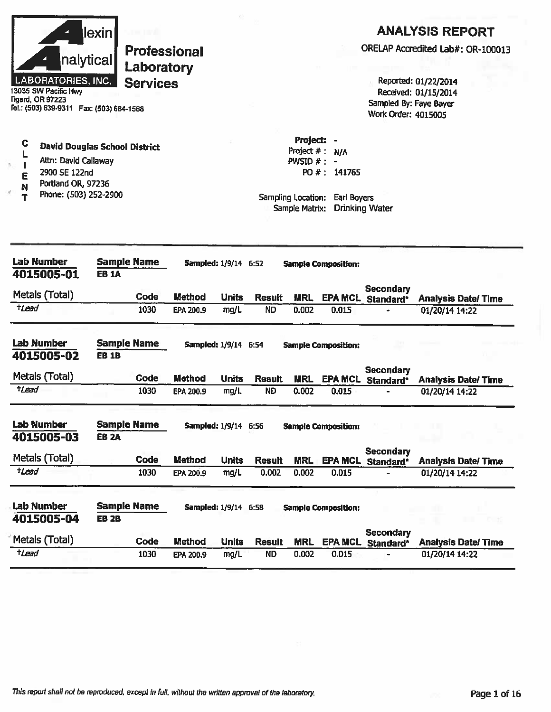| nalytical<br>LABORATORIES, INC.<br>13035 SW Pacific Hwy<br><b>Tigard, OR 97223</b><br>Fel.: (503) 639-9311  Fax: (503) 684-1588                                                       | lexin        | <b>Professional</b><br>Laboratory<br><b>Services</b> |                            |                             |                        |                                                                                     |                                    | Sampled By: Faye Bayer<br><b>Work Order: 4015005</b> | Reported: 01/22/2014<br>Received: 01/15/2014 | <b>ANALYSIS REPORT</b><br>ORELAP Accredited Lab#: OR-100013 |
|---------------------------------------------------------------------------------------------------------------------------------------------------------------------------------------|--------------|------------------------------------------------------|----------------------------|-----------------------------|------------------------|-------------------------------------------------------------------------------------|------------------------------------|------------------------------------------------------|----------------------------------------------|-------------------------------------------------------------|
| $\mathbf c$<br><b>David Douglas School District</b><br>L<br>Attn: David Callaway<br>$\mathbf{I}$<br>ń.<br>2900 SE 122nd<br>E<br>Portland OR, 97236<br>N<br>Phone: (503) 252-2900<br>т |              |                                                      |                            |                             |                        | Project: -<br>Project $#$ :<br>PWSID $#: -$<br>Sampling Location:<br>Sample Matrix: | N/A<br>PO #: 141765<br>Earl Boyers | <b>Drinking Water</b>                                |                                              |                                                             |
| <b>Lab Number</b><br>4015005-01                                                                                                                                                       | <b>EB 1A</b> | <b>Sample Name</b>                                   |                            | Sampled: 1/9/14 6:52        |                        |                                                                                     | <b>Sample Composition:</b>         |                                                      |                                              |                                                             |
| Metals (Total)                                                                                                                                                                        |              | Code                                                 | <b>Method</b>              | <b>Units</b>                | <b>Result</b>          | <b>MRL</b>                                                                          | <b>EPA MCL</b>                     | <b>Secondary</b>                                     |                                              |                                                             |
| +Lead                                                                                                                                                                                 |              | 1030                                                 | EPA 200.9                  | mg/L                        | <b>ND</b>              | 0.002                                                                               | 0.015                              | Standard*                                            | 01/20/14 14:22                               | <b>Analysis Date/Time</b>                                   |
| <b>Lab Number</b><br>4015005-02                                                                                                                                                       | <b>EB 1B</b> | <b>Sample Name</b>                                   |                            | <b>Sampled: 1/9/14 6:54</b> |                        |                                                                                     | <b>Sample Composition:</b>         |                                                      |                                              |                                                             |
| Metals (Total)                                                                                                                                                                        |              | Code                                                 | <b>Method</b>              | <b>Units</b>                | <b>Result</b>          | <b>MRL</b>                                                                          | <b>EPA MCL</b>                     | <b>Secondary</b><br>Standard*                        |                                              | <b>Analysis Date/Time</b>                                   |
| $t$ <i>Lead</i>                                                                                                                                                                       |              | 1030                                                 | EPA 200.9                  | mg/L                        | <b>ND</b>              | 0.002                                                                               | 0.015                              |                                                      | 01/20/14 14:22                               |                                                             |
| Lab Number<br>4015005-03                                                                                                                                                              | <b>EB 2A</b> | <b>Sample Name</b>                                   |                            | Sampled: 1/9/14 6:56        |                        |                                                                                     | <b>Sample Composition:</b>         |                                                      |                                              |                                                             |
| Metals (Total)                                                                                                                                                                        |              |                                                      |                            |                             |                        |                                                                                     |                                    | <b>Secondary</b>                                     |                                              |                                                             |
| $t$ <i>Lead</i>                                                                                                                                                                       |              | Code<br>1030                                         | <b>Method</b><br>EPA 200.9 | <b>Units</b><br>mg/L        | <b>Result</b><br>0.002 | <b>MRL</b><br>0.002                                                                 | <b>EPA MCL</b><br>0.015            | Standard*                                            | 01/20/14 14:22                               | <b>Analysis Date/ Time</b>                                  |
| <b>Lab Number</b><br>4015005-04                                                                                                                                                       | <b>EB 2B</b> | <b>Sample Name</b>                                   |                            | <b>Sampled: 1/9/14 6:58</b> |                        |                                                                                     | <b>Sample Composition:</b>         |                                                      |                                              | C E                                                         |
|                                                                                                                                                                                       |              |                                                      |                            |                             |                        |                                                                                     |                                    | <b>Secondary</b>                                     |                                              |                                                             |
| Metals (Total)                                                                                                                                                                        |              | Code                                                 | <b>Method</b>              | <b>Units</b>                | <b>Result</b>          | <b>MRL</b>                                                                          | <b>EPA MCL</b>                     | Standard*                                            |                                              | <b>Analysis Date/Time</b>                                   |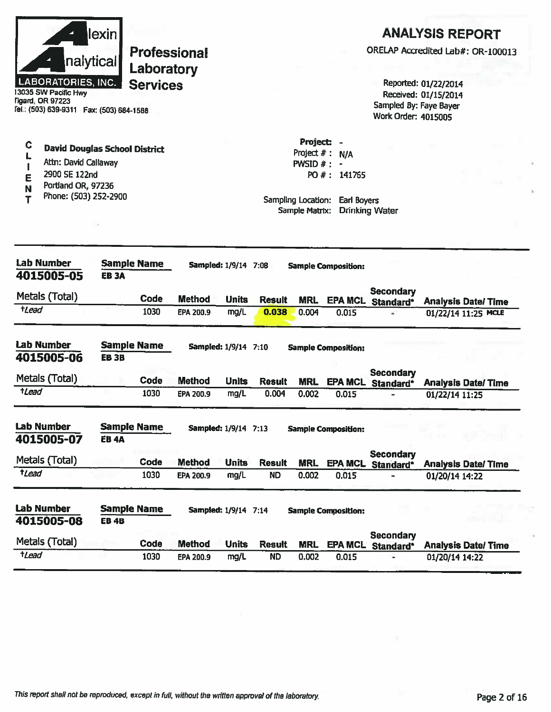| nalytical <br><b>LABORATORIES, INC.</b><br>13035 SW Pacific Hwy<br>ligard, OR 97223<br>Tel.: (503) 639-9311  Fax: (503) 684-1588                 | lexin       | <b>Professional</b><br>Laboratory<br><b>Services</b> |               |                             |               |                                                                                         |                             | Sampled By: Faye Bayer<br><b>Work Order: 4015005</b> | <b>ANALYSIS REPORT</b><br>ORELAP Accredited Lab#: OR-100013<br>Reported: 01/22/2014<br>Received: 01/15/2014 |
|--------------------------------------------------------------------------------------------------------------------------------------------------|-------------|------------------------------------------------------|---------------|-----------------------------|---------------|-----------------------------------------------------------------------------------------|-----------------------------|------------------------------------------------------|-------------------------------------------------------------------------------------------------------------|
| С<br><b>David Douglas School District</b><br>Attn: David Callaway<br>ı<br>2900 SE 122nd<br>Ē<br>Portland OR, 97236<br>N<br>Phone: (503) 252-2900 |             |                                                      |               |                             |               | Project: -<br>Project $#: N/A$<br>PWSID $#$ : -<br>Sampling Location:<br>Sample Matrix: | PO #: 141765<br>Earl Boyers | <b>Drinking Water</b>                                |                                                                                                             |
| <b>Lab Number</b><br>4015005-05                                                                                                                  | <b>EB3A</b> | <b>Sample Name</b>                                   |               | <b>Sampled: 1/9/14 7:08</b> |               |                                                                                         | <b>Sample Composition:</b>  |                                                      |                                                                                                             |
| Metals (Total)                                                                                                                                   |             | Code                                                 | <b>Method</b> | <b>Units</b>                | <b>Result</b> | <b>MRL</b>                                                                              |                             | <b>Secondary</b><br>EPA MCL Standard*                | <b>Analysis Date/Time</b>                                                                                   |
| $t$ Lead                                                                                                                                         |             | 1030                                                 | EPA 200.9     | mg/L                        | 0.038         | 0.004                                                                                   | 0.015                       |                                                      | 01/22/14 11:25 MCLE                                                                                         |
| <b>Lab Number</b><br>4015005-06                                                                                                                  | <b>EB3B</b> | <b>Sample Name</b>                                   |               | <b>Sampled: 1/9/14 7:10</b> |               |                                                                                         | <b>Sample Composition:</b>  |                                                      |                                                                                                             |
| Metals (Total)                                                                                                                                   |             | Code                                                 | <b>Method</b> | <b>Units</b>                | <b>Result</b> | <b>MRL</b>                                                                              |                             | <b>Secondary</b><br><b>EPA MCL</b> Standard*         | <b>Analysis Date/Time</b>                                                                                   |
| <i><b>tLead</b></i>                                                                                                                              |             | 1030                                                 | EPA 200.9     | mg/L                        | 0.004         | 0.002                                                                                   | 0.015                       |                                                      | 01/22/14 11:25                                                                                              |
| <b>Lab Number</b><br>4015005-07                                                                                                                  | <b>EB4A</b> | <b>Sample Name</b>                                   |               | Sampled: 1/9/14 7:13        |               |                                                                                         | <b>Sample Composition:</b>  |                                                      |                                                                                                             |
| Metals (Total)                                                                                                                                   |             | Code                                                 | <b>Method</b> | <b>Units</b>                | <b>Result</b> |                                                                                         |                             | <b>Secondary</b>                                     |                                                                                                             |
| tLead                                                                                                                                            |             | 1030                                                 | EPA 200.9     | mg/L                        | <b>ND</b>     | <b>MRL</b><br>0.002                                                                     | <b>EPA MCL</b><br>0.015     | Standard*                                            | <b>Analysis Date/Time</b><br>01/20/14 14:22                                                                 |
| <b>Lab Number</b><br>4015005-08                                                                                                                  | <b>EB4B</b> | <b>Sample Name</b>                                   |               | Sampled: 1/9/14 7:14        |               |                                                                                         | <b>Sample Composition:</b>  |                                                      |                                                                                                             |
| Metals (Total)                                                                                                                                   |             | Code                                                 | <b>Method</b> | <b>Units</b>                | <b>Result</b> | <b>MRL</b>                                                                              | <b>EPA MCL</b>              | <b>Secondary</b><br>Standard*                        | <b>Analysis Date/ Time</b>                                                                                  |
| $t$ <i>Lead</i>                                                                                                                                  |             | 1030                                                 | EPA 200.9     | mg/L                        | <b>ND</b>     | 0.002                                                                                   | 0.015                       |                                                      | 01/20/14 14:22                                                                                              |

ò.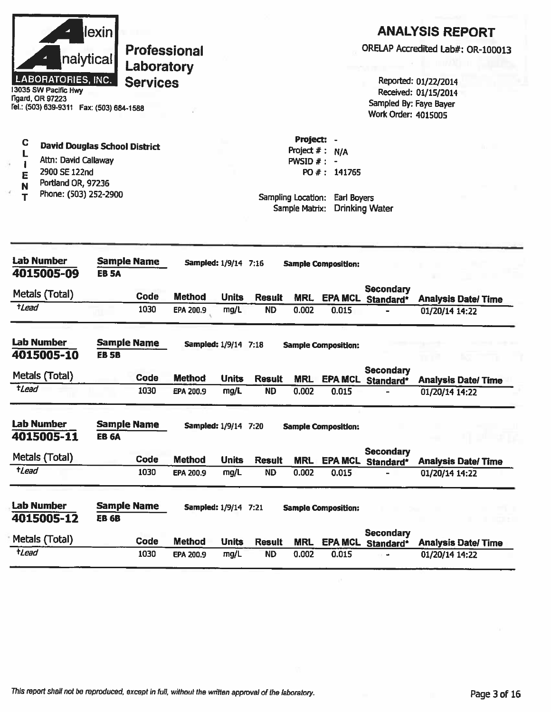| <b>LABORATORIES, INC.</b><br>13035 SW Pacific Hwy<br><b>Tigard, OR 97223</b><br>Fel.: (503) 639-9311  Fax: (503) 684-1588     | lexin<br>nalytical                   | Laboratory<br><b>Services</b> | <b>Professional</b>                   |                      |                            |                                                                                    |                                              | Sampled By: Faye Bayer<br><b>Work Order: 4015005</b> | <b>ANALYSIS REPORT</b><br>ORELAP Accredited Lab#: OR-100013<br>Reported: 01/22/2014<br>Received: 01/15/2014 |
|-------------------------------------------------------------------------------------------------------------------------------|--------------------------------------|-------------------------------|---------------------------------------|----------------------|----------------------------|------------------------------------------------------------------------------------|----------------------------------------------|------------------------------------------------------|-------------------------------------------------------------------------------------------------------------|
| C<br>L<br>Attn: David Callaway<br>$\mathbf{I}$<br>2900 SE 122nd<br>E<br>Portland OR, 97236<br>N<br>Phone: (503) 252-2900<br>т | <b>David Douglas School District</b> |                               |                                       |                      |                            | Project: -<br>Project $#:$<br>PWSID $#: -$<br>Sampling Location:<br>Sample Matrix: | N/A<br>PO #: 141765<br><b>Earl Boyers</b>    | <b>Drinking Water</b>                                |                                                                                                             |
| <b>Lab Number</b><br>4015005-09                                                                                               | <b>Sample Name</b><br><b>EB 5A</b>   |                               | Sampled: 1/9/14 7:16                  |                      |                            |                                                                                    | <b>Sample Composition:</b>                   |                                                      |                                                                                                             |
| Metals (Total)<br>tLead                                                                                                       |                                      | Code<br>1030                  | <b>Method</b><br>EPA 200.9            | <b>Units</b><br>mg/L | <b>Result</b><br><b>ND</b> | <b>MRL</b><br>0.002                                                                | 0.015                                        | <b>Secondary</b><br><b>EPA MCL</b> Standard*         | <b>Analysis Date/Time</b><br>01/20/14 14:22                                                                 |
| Lab Number<br>4015005-10<br>Metals (Total)                                                                                    | <b>Sample Name</b><br><b>EB 5B</b>   | Code                          | Sampled: 1/9/14 7:18<br><b>Method</b> | <b>Units</b>         | <b>Result</b>              | <b>MRL</b>                                                                         | <b>Sample Composition:</b><br><b>EPA MCL</b> | Secondary<br>Standard*                               | <b>Analysis Date/Time</b>                                                                                   |
| tLead                                                                                                                         |                                      | 1030                          | EPA 200.9                             | mg/L                 | <b>ND</b>                  | 0.002                                                                              | 0.015                                        |                                                      | 01/20/14 14:22                                                                                              |
| <b>Lab Number</b><br>4015005-11                                                                                               | <b>Sample Name</b><br><b>EB 6A</b>   |                               | <b>Sampled: 1/9/14 7:20</b>           |                      |                            |                                                                                    | <b>Sample Composition:</b>                   |                                                      |                                                                                                             |
| Metals (Total)                                                                                                                |                                      | Code                          | <b>Method</b>                         | <b>Units</b>         | <b>Result</b>              | <b>MRL</b>                                                                         |                                              | <b>Secondary</b><br><b>EPA MCL</b> Standard*         | <b>Analysis Date/Time</b>                                                                                   |
| $t$ Lead                                                                                                                      |                                      | 1030                          | EPA 200.9                             | mg/L                 | <b>ND</b>                  | 0.002                                                                              | 0.015                                        |                                                      | 01/20/14 14:22                                                                                              |
| <b>Lab Number</b><br>4015005-12                                                                                               | <b>Sample Name</b><br><b>EB 6B</b>   |                               | <b>Sampled: 1/9/14 7:21</b>           |                      |                            |                                                                                    | <b>Sample Composition:</b>                   | <b>Secondary</b>                                     |                                                                                                             |
| Metals (Total)                                                                                                                |                                      | <b>Code</b>                   | <b>Method</b>                         | <b>Units</b>         | <b>Result</b>              | <b>MRL</b>                                                                         |                                              | <b>EPA MCL Standard*</b>                             | <b>Analysis Date/Time</b>                                                                                   |
| $t$ <i>Lead</i>                                                                                                               |                                      | 1030                          | EPA 200.9                             | mg/L                 | <b>ND</b>                  | 0.002                                                                              | 0.015                                        |                                                      | 01/20/14 14:22                                                                                              |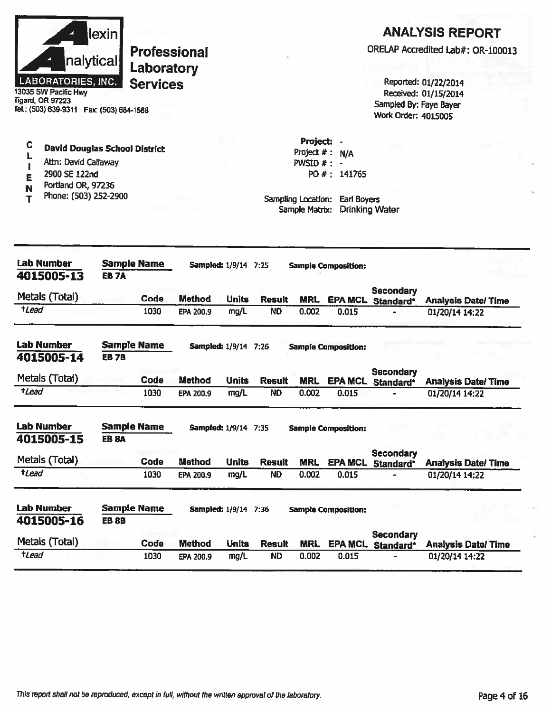|         | <b>Lab Number</b><br>4015005-13<br>Metals (Total)                                                                                      | <b>EB7A</b> | <b>Sample Name</b><br>Code                           | <b>Method</b> | Sampled: 1/9/14 7:25<br><b>Units</b> | <b>Result</b> | <b>MRL</b>                           | <b>Sample Composition:</b>                  | <b>Secondary</b><br>EPA MCL Standard*                |                                                                                                             |  |
|---------|----------------------------------------------------------------------------------------------------------------------------------------|-------------|------------------------------------------------------|---------------|--------------------------------------|---------------|--------------------------------------|---------------------------------------------|------------------------------------------------------|-------------------------------------------------------------------------------------------------------------|--|
|         |                                                                                                                                        |             |                                                      |               |                                      |               |                                      |                                             |                                                      |                                                                                                             |  |
|         |                                                                                                                                        |             |                                                      |               |                                      |               |                                      |                                             |                                                      |                                                                                                             |  |
| N<br>T  | Portland OR, 97236<br>Phone: (503) 252-2900                                                                                            |             |                                                      |               |                                      |               | Sampling Location:<br>Sample Matrix: | <b>Earl Boyers</b><br><b>Drinking Water</b> |                                                      |                                                                                                             |  |
| I<br>E  | Attn: David Callaway<br>2900 SE 122nd                                                                                                  |             |                                                      |               |                                      |               | PWSID $#$ :                          | $\bullet$<br>PO #: 141765                   |                                                      |                                                                                                             |  |
| C<br>L, | <b>David Douglas School District</b>                                                                                                   |             |                                                      |               |                                      |               | Project: -<br>Project $#:$           | N/A                                         |                                                      |                                                                                                             |  |
|         | nalytical<br><b>LABORATORIES, INC.</b><br>13035 SW Pacific Hwy<br><b>Tigard, OR 97223</b><br>Tel.: (503) 639-9311  Fax: (503) 684-1588 | lexin       | <b>Professional</b><br>Laboratory<br><b>Services</b> |               |                                      |               |                                      |                                             | Sampled By: Faye Bayer<br><b>Work Order: 4015005</b> | <b>ANALYSIS REPORT</b><br>ORELAP Accredited Lab#: OR-100013<br>Reported: 01/22/2014<br>Received: 01/15/2014 |  |

| 4015005-15     | <b>EB 8A</b> |      |               |       |               |            |                |                        |                           |
|----------------|--------------|------|---------------|-------|---------------|------------|----------------|------------------------|---------------------------|
| Metals (Total) |              | Code | <b>Method</b> | Units | <b>Result</b> | <b>MRL</b> | <b>EPA MCL</b> | Secondary<br>Standard* | <b>Analysis Date/Time</b> |
| tLead          |              | 1030 | EPA 200.9     | mg/L  | <b>ND</b>     | 0.002      | 0.015          | $\blacksquare$         | 01/20/14 14:22            |
|                |              |      |               |       |               |            |                |                        |                           |

| Lab Number<br>4015005-16 | <b>EB 8B</b> | <b>Sample Name</b> |               | <b>Sampled: 1/9/14 7:36</b> |               |            | <b>Sample Composition:</b> |                               |                           |
|--------------------------|--------------|--------------------|---------------|-----------------------------|---------------|------------|----------------------------|-------------------------------|---------------------------|
| Metals (Total)           |              | Code               | <b>Method</b> | <b>Units</b>                | <b>Result</b> | <b>MRL</b> | <b>EPA MCL</b>             | <b>Secondary</b><br>Standard* | <b>Analysis Date/Time</b> |
| tLead                    |              | 1030               | EPA 200.9     | mg/L                        | <b>ND</b>     | 0.002      | 0.015                      |                               | 01/20/14 14:22            |

This report shall not be reproduced, except in full, without the written approval of the laboratory.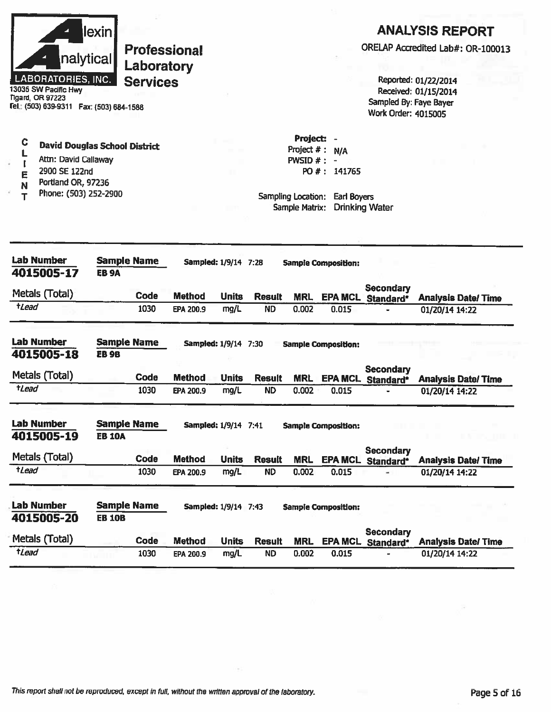

13035 SW Pacific Hwy Tigard, OR 97223 Fel.: (503) 639-9311 Fax: (503) 684-1588

#### $\mathbf C$ **David Douglas School District**  $\mathbf L$

- Attn: David Callaway  $\mathbf{I}$
- 2900 SE 122nd E
- Portland OR, 97236 N
- Phone: (503) 252-2900  $\mathsf{T}$

### **ANALYSIS REPORT**

ORELAP Accredited Lab#: OR-100013

Reported: 01/22/2014 Received: 01/15/2014 Sampled By: Faye Bayer Work Order: 4015005

Project: -Project  $# : N/A$ PWSID  $# : -$ PO #: 141765

| <b>Lab Number</b><br>4015005-17 | <b>Sample Name</b><br><b>EB 9A</b>  |             |                  | <b>Sampled: 1/9/14 7:28</b> |               |            | <b>Sample Composition:</b> |                               |                            |
|---------------------------------|-------------------------------------|-------------|------------------|-----------------------------|---------------|------------|----------------------------|-------------------------------|----------------------------|
| Metals (Total)                  |                                     | Code        | <b>Method</b>    | <b>Units</b>                | <b>Result</b> | <b>MRL</b> | <b>EPA MCL</b>             | Secondary<br>Standard*        | <b>Analysis Date/ Time</b> |
| tLead                           |                                     | 1030        | EPA 200.9        | mg/L                        | <b>ND</b>     | 0.002      | 0.015                      |                               | 01/20/14 14:22             |
| <b>Lab Number</b><br>4015005-18 | <b>Sample Name</b><br><b>EB9B</b>   |             |                  | <b>Sampled: 1/9/14 7:30</b> |               |            | <b>Sample Composition:</b> |                               |                            |
| Metals (Total)                  |                                     | Code        | <b>Method</b>    | <b>Units</b>                | <b>Result</b> | <b>MRL</b> | <b>EPA MCL</b>             | Secondary<br>Standard*        | <b>Analysis Date/Time</b>  |
| tLead                           |                                     | 1030        | EPA 200.9        | mg/L                        | <b>ND</b>     | 0.002      | 0.015                      |                               | 01/20/14 14:22             |
| <b>Lab Number</b><br>4015005-19 | <b>Sample Name</b><br><b>EB 10A</b> |             |                  | <b>Sampled: 1/9/14 7:41</b> |               |            | <b>Sample Composition:</b> |                               |                            |
| Metals (Total)                  |                                     | Code        | <b>Method</b>    | <b>Units</b>                | <b>Result</b> | <b>MRL</b> | <b>EPA MCL</b>             | Secondary<br>Standard*        | <b>Analysis Date/Time</b>  |
| tLead                           |                                     | 1030        | EPA 200.9        | mg/L                        | <b>ND</b>     | 0.002      | 0.015                      |                               | 01/20/14 14:22             |
| <b>Lab Number</b><br>4015005-20 | <b>Sample Name</b><br><b>EB 10B</b> |             |                  | <b>Sampled: 1/9/14 7:43</b> |               |            | <b>Sample Composition:</b> |                               |                            |
| Metals (Total)                  |                                     | <b>Code</b> | <b>Method</b>    | <b>Units</b>                | <b>Result</b> | <b>MRL</b> | <b>EPA MCL</b>             | <b>Secondary</b><br>Standard* | <b>Analysis Date/Time</b>  |
| tLead                           |                                     | 1030        | <b>EPA 200.9</b> | mg/L                        | <b>ND</b>     | 0.002      | 0.015                      |                               | 01/20/14 14:22             |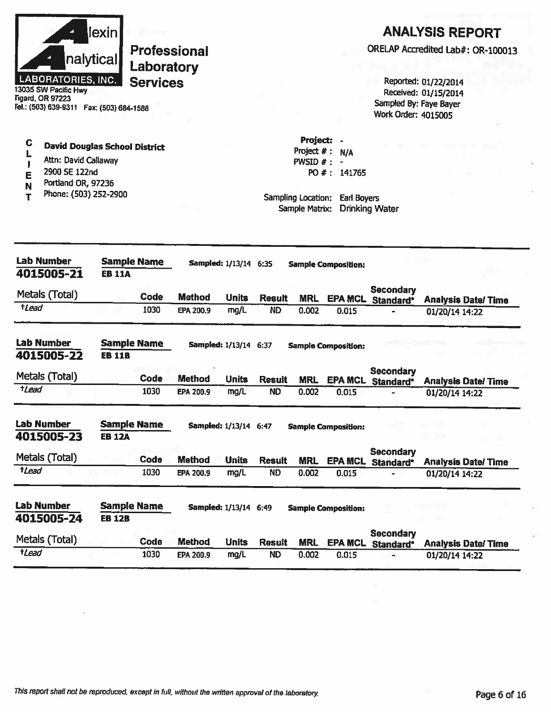| nalytical<br><b>LABORATORIES, INC.</b><br>3035 SW Pacific Hwy<br>Tigard, OR 97223<br>el.: (503) 639-9311  Fax: (503) 684-1588                         | lexin                               | Laboratory<br><b>Services</b> | <b>Professional</b>               |                                                      |                            |                                                                  |                                                                          | Sampled By: Faye Bayer<br>Work Order: 4015005 | <b>ANALYSIS REPORT</b><br>ORELAP Accredited Lab#: OR-100013<br>Reported: 01/22/2014<br>Received: 01/15/2014 |
|-------------------------------------------------------------------------------------------------------------------------------------------------------|-------------------------------------|-------------------------------|-----------------------------------|------------------------------------------------------|----------------------------|------------------------------------------------------------------|--------------------------------------------------------------------------|-----------------------------------------------|-------------------------------------------------------------------------------------------------------------|
| C<br><b>David Douglas School District</b><br>L<br>Attn: David Callaway<br>2900 SE 122nd<br>E<br>Portland OR, 97236<br>N<br>Phone: (503) 252-2900<br>т |                                     |                               |                                   |                                                      |                            | Project: -<br>$PWSID$ #:<br>Sampling Location:<br>Sample Matrix: | Project $# : N/A$<br>$\rightarrow$<br>PO #: 141765<br><b>Earl Boyers</b> | <b>Drinking Water</b>                         |                                                                                                             |
| <b>Lab Number</b><br>4015005-21                                                                                                                       | <b>Sample Name</b><br><b>EB 11A</b> |                               |                                   | <b>Sampled: 1/13/14 6:35</b>                         |                            |                                                                  | <b>Sample Composition:</b>                                               |                                               |                                                                                                             |
| Metals (Total)<br>$t$ <i>Lead</i>                                                                                                                     |                                     | <b>Code</b><br>1030           | <b>Method</b><br><b>EPA 200.9</b> | <b>Units</b><br>mg/L                                 | <b>Result</b><br><b>ND</b> | <b>MRL</b><br>0.002                                              | 0.015                                                                    | <b>Secondary</b><br><b>EPA MCL Standard*</b>  | <b>Analysis Date/Time</b><br>01/20/14 14:22                                                                 |
| Lab Number<br>4015005-22<br>Metals (Total)<br><i><b>tLead</b></i>                                                                                     | <b>Sample Name</b><br><b>EB 11B</b> | Code<br>1030                  | <b>Method</b><br>EPA 200.9        | <b>Sampled: 1/13/14 6:37</b><br><b>Units</b><br>mg/L | <b>Result</b><br><b>ND</b> | <b>MRL</b><br>0.002                                              | <b>Sample Composition:</b><br>0.015                                      | <b>Secondary</b><br>EPA MCL Standard*         | <b>Analysis Date/Time</b><br>01/20/14 14:22                                                                 |
| Lab Number<br>4015005-23<br>Metals (Total)                                                                                                            | <b>Sample Name</b><br><b>EB 12A</b> | Code                          | <b>Method</b>                     | Sampled: 1/13/14 6:47<br><b>Units</b>                | <b>Result</b>              | <b>MRL</b>                                                       | <b>Sample Composition:</b>                                               | <b>Secondary</b><br>EPA MCL Standard*         | <b>Analysis Date/Time</b>                                                                                   |
| tLead<br>Lab Number<br>4015005-24                                                                                                                     | <b>Sample Name</b><br><b>EB 12B</b> | 1030                          | EPA 200.9                         | mg/L<br><b>Sampled: 1/13/14 6:49</b>                 | <b>ND</b>                  | 0.002                                                            | 0.015<br><b>Sample Composition:</b>                                      |                                               | 01/20/14 14:22                                                                                              |
|                                                                                                                                                       |                                     |                               |                                   |                                                      |                            |                                                                  |                                                                          | <b>Secondary</b>                              |                                                                                                             |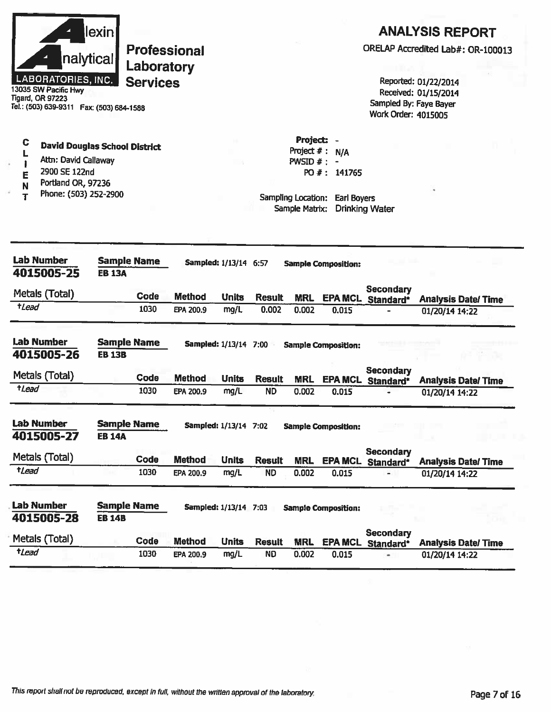| lexinl                    |
|---------------------------|
| nalytical                 |
| <b>LABORATORIES, INC.</b> |

13035 SW Pacific Hwy **Tigard, OR 97223** Tel.: (503) 639-9311 Fax: (503) 684-1588

#### $\mathbf C$ **David Douglas School District**

- L Attn: David Callaway  $\mathbf{I}$
- 2900 SE 122nd E
- Portland OR, 97236 N
- Phone: (503) 252-2900 T

### **ANALYSIS REPORT**

ORELAP Accredited Lab#: OR-100013

Reported: 01/22/2014 Received: 01/15/2014 Sampled By: Faye Bayer Work Order: 4015005

Project: -Project  $# : N/A$ PWSID  $# : -$ PO #: 141765

| <b>Lab Number</b><br>4015005-25 | <b>Sample Name</b><br><b>EB 13A</b> |             |               | <b>Sampled:</b> 1/13/14 6:57 |               |            | <b>Sample Composition:</b> |                               |                            |
|---------------------------------|-------------------------------------|-------------|---------------|------------------------------|---------------|------------|----------------------------|-------------------------------|----------------------------|
| Metals (Total)                  |                                     | <b>Code</b> | <b>Method</b> | <b>Units</b>                 | <b>Result</b> | <b>MRL</b> | <b>EPA MCL</b>             | <b>Secondary</b><br>Standard* | <b>Analysis Date/Time</b>  |
| $t$ <i>lead</i>                 |                                     | 1030        | EPA 200.9     | mg/L                         | 0.002         | 0.002      | 0.015                      |                               | 01/20/14 14:22             |
| <b>Lab Number</b><br>4015005-26 | <b>Sample Name</b><br><b>EB 13B</b> |             |               | <b>Sampled: 1/13/14</b>      | 7:00          |            | <b>Sample Composition:</b> |                               |                            |
| Metals (Total)                  |                                     | Code        | <b>Method</b> | <b>Units</b>                 | <b>Result</b> | <b>MRL</b> | <b>EPA MCL</b>             | <b>Secondary</b><br>Standard* | <b>Analysis Date/ Time</b> |
| tLead                           |                                     | 1030        | EPA 200.9     | mg/L                         | <b>ND</b>     | 0.002      | 0.015                      |                               | 01/20/14 14:22             |
| <b>Lab Number</b><br>4015005-27 | <b>Sample Name</b><br><b>EB 14A</b> |             |               | <b>Sampled: 1/13/14</b>      | 7:02          |            | <b>Sample Composition:</b> |                               |                            |
| Metals (Total)                  |                                     | Code        | <b>Method</b> | <b>Units</b>                 | <b>Result</b> | <b>MRL</b> | <b>EPA MCL</b>             | <b>Secondary</b><br>Standard* | <b>Analysis Date/ Time</b> |
| <i><b>tLead</b></i>             |                                     | 1030        | EPA 200.9     | mg/L                         | <b>ND</b>     | 0.002      | 0.015                      |                               | 01/20/14 14:22             |
| <b>Lab Number</b><br>4015005-28 | <b>Sample Name</b><br><b>EB 14B</b> |             |               | <b>Sampled: 1/13/14 7:03</b> |               |            | <b>Sample Composition:</b> |                               |                            |
| Metals (Total)                  |                                     | Code        | <b>Method</b> | <b>Units</b>                 | <b>Result</b> | <b>MRL</b> | <b>EPA MCL</b>             | Secondary<br>Standard*        | <b>Analysis Date/Time</b>  |
| <i><b>tLead</b></i>             |                                     | 1030        | EPA 200.9     | mg/L                         | <b>ND</b>     | 0.002      | 0.015                      |                               | 01/20/14 14:22             |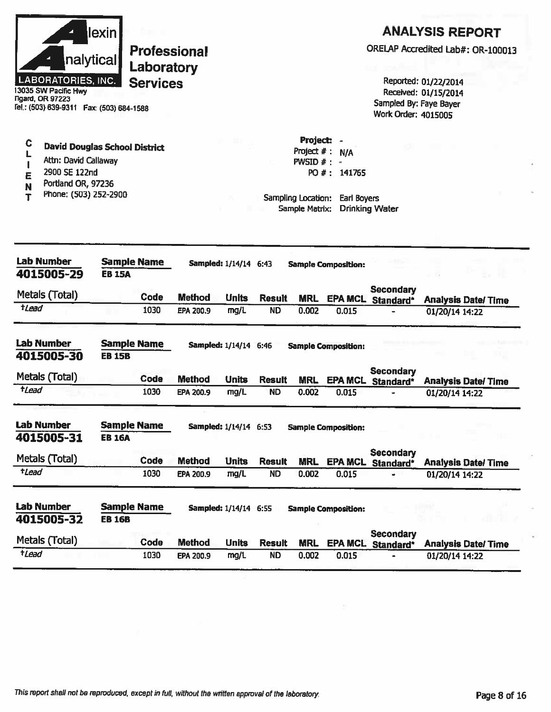| lexin l                   |
|---------------------------|
| nalytical                 |
| <b>LABORATORIES, INC.</b> |

13035 SW Pacific Hwy **Tigard, OR 97223** Fel.: (503) 639-9311 Fax: (503) 684-1588

#### $\mathbf C$ **David Douglas School District**  $\mathbf{L}$

- Attn: David Callaway  $\mathbf{I}$
- 2900 SE 122nd E
- Portland OR, 97236  $\mathbf N$
- Phone: (503) 252-2900  $\overline{\mathbf{T}}$

## **ANALYSIS REPORT**

ORELAP Accredited Lab#: OR-100013

Reported: 01/22/2014 Received: 01/15/2014 Sampled By: Faye Bayer Work Order: 4015005

Project: -Project  $# : N/A$ PWSID  $# : -$ PO #: 141765

| <b>Lab Number</b><br>4015005-29 | <b>Sample Name</b><br><b>EB 15A</b> |             |               | Sampled: 1/14/14 6:43        |               |            | <b>Sample Composition:</b> |                               |                            |
|---------------------------------|-------------------------------------|-------------|---------------|------------------------------|---------------|------------|----------------------------|-------------------------------|----------------------------|
| Metals (Total)                  |                                     | <b>Code</b> | <b>Method</b> | <b>Units</b>                 | <b>Result</b> | <b>MRL</b> | <b>EPA MCL</b>             | Secondary<br>Standard*        | <b>Analysis Date/Time</b>  |
| <i><b>tLead</b></i>             |                                     | 1030        | EPA 200.9     | mg/L                         | <b>ND</b>     | 0.002      | 0.015                      |                               | 01/20/14 14:22             |
| <b>Lab Number</b><br>4015005-30 | <b>Sample Name</b><br><b>EB 15B</b> |             |               | Sampled: 1/14/14 6:46        |               |            | <b>Sample Composition:</b> |                               |                            |
| Metals (Total)                  |                                     | <b>Code</b> | <b>Method</b> | <b>Units</b>                 | <b>Result</b> | <b>MRL</b> | <b>EPA MCL</b>             | Secondary<br>Standard*        | <b>Analysis Date/Time</b>  |
| <i><b>*Lead</b></i>             |                                     | 1030        | EPA 200.9     | mg/L                         | <b>ND</b>     | 0.002      | 0.015                      |                               | 01/20/14 14:22             |
| <b>Lab Number</b><br>4015005-31 | <b>Sample Name</b><br><b>EB 16A</b> |             |               | Sampled: 1/14/14 6:53        |               |            | <b>Sample Composition:</b> |                               |                            |
| Metals (Total)                  |                                     | Code        | Method        | <b>Units</b>                 | <b>Result</b> | <b>MRL</b> | <b>EPA MCL</b>             | Secondary<br>Standard*        | <b>Analysis Date/ Time</b> |
| <b>+Lead</b>                    |                                     | 1030        | EPA 200.9     | mg/L                         | <b>ND</b>     | 0.002      | 0.015                      |                               | 01/20/14 14:22             |
| <b>Lab Number</b><br>4015005-32 | <b>Sample Name</b><br><b>EB 16B</b> |             |               | <b>Sampled: 1/14/14 6:55</b> |               |            | <b>Sample Composition:</b> |                               |                            |
| Metals (Total)                  |                                     | Code        | <b>Method</b> | <b>Units</b>                 | <b>Result</b> | <b>MRL</b> | <b>EPA MCL</b>             | <b>Secondary</b><br>Standard* | <b>Analysis Date/Time</b>  |
| <i><b>*Lead</b></i>             |                                     | 1030        | EPA 200.9     | mg/L                         | <b>ND</b>     | 0.002      | 0.015                      |                               | 01/20/14 14:22             |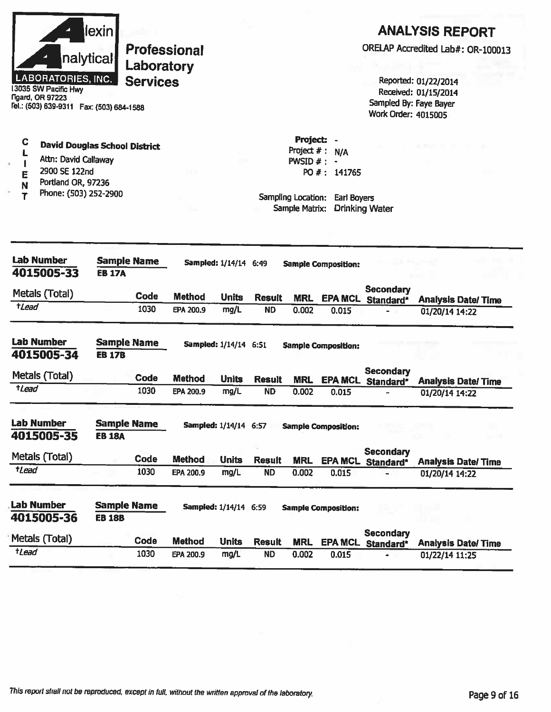|                                       | nalytical<br><b>LABORATORIES, INC.</b><br>13035 SW Pacific Hwy<br><b>Figard, OR 97223</b><br>Fel.: (503) 639-9311  Fax: (503) 684-1588 | lexin                               | Laboratory<br><b>Services</b> | <b>Professional</b> |                              |               |                                                                                     |                                    | Sampled By: Faye Bayer<br>Work Order: 4015005 | <b>ANALYSIS REPORT</b><br>ORELAP Accredited Lab#: OR-100013<br>Reported: 01/22/2014<br>Received: 01/15/2014 |
|---------------------------------------|----------------------------------------------------------------------------------------------------------------------------------------|-------------------------------------|-------------------------------|---------------------|------------------------------|---------------|-------------------------------------------------------------------------------------|------------------------------------|-----------------------------------------------|-------------------------------------------------------------------------------------------------------------|
| C<br>L<br>$\mathbf{I}$<br>E<br>N<br>Т | <b>David Douglas School District</b><br>Attn: David Callaway<br>2900 SE 122nd<br>Portland OR, 97236<br>Phone: (503) 252-2900           |                                     |                               |                     |                              |               | Project: -<br>Project $#:$<br>PWSID $# : -$<br>Sampling Location:<br>Sample Matrix: | N/A<br>PO #: 141765<br>Earl Boyers | <b>Drinking Water</b>                         |                                                                                                             |
|                                       | <b>Lab Number</b><br>4015005-33                                                                                                        | <b>Sample Name</b><br><b>EB 17A</b> |                               |                     | Sampled: 1/14/14 6:49        |               |                                                                                     | <b>Sample Composition:</b>         |                                               |                                                                                                             |
| $t$ Lead                              | Metals (Total)                                                                                                                         |                                     | <b>Code</b>                   | <b>Method</b>       | <b>Units</b>                 | <b>Result</b> | <b>MRL</b>                                                                          | <b>EPA MCL</b>                     | <b>Secondary</b><br>Standard*                 | <b>Analysis Date/Time</b>                                                                                   |
|                                       |                                                                                                                                        |                                     | 1030                          | EPA 200.9           | mg/L                         | <b>ND</b>     | 0.002                                                                               | 0.015                              |                                               | 01/20/14 14:22                                                                                              |
|                                       | <b>Lab Number</b><br>4015005-34                                                                                                        | <b>Sample Name</b><br><b>EB 17B</b> |                               |                     | Sampled: 1/14/14 6:51        |               |                                                                                     | <b>Sample Composition:</b>         |                                               |                                                                                                             |
|                                       | Metals (Total)                                                                                                                         |                                     | Code                          | <b>Method</b>       | <b>Units</b>                 | <b>Result</b> | <b>MRL</b>                                                                          |                                    | <b>Secondary</b><br>EPA MCL Standard*         | <b>Analysis Date/Time</b>                                                                                   |
| $t$ Lead                              |                                                                                                                                        |                                     | 1030                          | EPA 200.9           | mg/L                         | <b>ND</b>     | 0.002                                                                               | 0.015                              |                                               | 01/20/14 14:22                                                                                              |
|                                       | <b>Lab Number</b><br>4015005-35                                                                                                        | <b>Sample Name</b><br><b>EB 18A</b> |                               |                     | Sampled: 1/14/14 6:57        |               |                                                                                     | <b>Sample Composition:</b>         |                                               |                                                                                                             |
|                                       | Metals (Total)                                                                                                                         |                                     | Code                          | <b>Method</b>       | <b>Units</b>                 | <b>Result</b> | <b>MRL</b>                                                                          |                                    | Secondary                                     |                                                                                                             |
| tLead                                 |                                                                                                                                        |                                     | 1030                          | EPA 200.9           | mg/L                         | <b>ND</b>     | 0.002                                                                               | 0.015                              | EPA MCL Standard*                             | <b>Analysis Date/Time</b><br>01/20/14 14:22                                                                 |
|                                       | <b>Lab Number</b><br>4015005-36                                                                                                        | <b>Sample Name</b><br><b>EB 18B</b> |                               |                     | <b>Sampled: 1/14/14 6:59</b> |               |                                                                                     | <b>Sample Composition:</b>         |                                               |                                                                                                             |
|                                       | Metals (Total)                                                                                                                         |                                     | Code                          | <b>Method</b>       | <b>Units</b>                 | <b>Result</b> | <b>MRL</b>                                                                          |                                    | <b>Secondary</b><br>EPA MCL Standard*         | <b>Analysis Date/Time</b>                                                                                   |
| <i><b>tLead</b></i>                   |                                                                                                                                        |                                     | 1030                          | EPA 200.9           | mg/L                         | <b>ND</b>     | 0.002                                                                               | 0.015                              | ٠                                             | 01/22/14 11:25                                                                                              |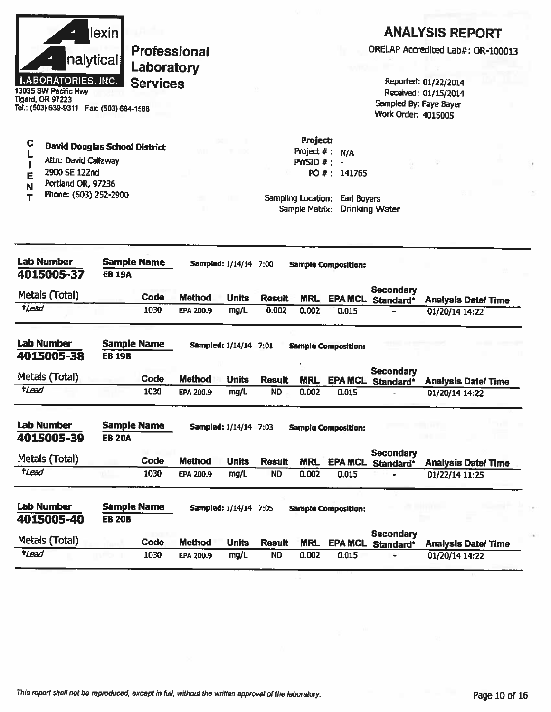|                  | nalytical<br><b>LABORATORIES, INC.</b><br>13035 SW Pacific Hwy<br><b>Tigard, OR 97223</b><br>Tel.: (503) 639-9311  Fax: (503) 684-1588 | lexin         | <b>Professional</b><br>Laboratory<br><b>Services</b> |                            |                              |                        |                                                                                       |                                    | Sampled By: Faye Bayer<br>Work Order: 4015005 | <b>ANALYSIS REPORT</b><br>ORELAP Accredited Lab#: OR-100013<br>Reported: 01/22/2014<br>Received: 01/15/2014 |
|------------------|----------------------------------------------------------------------------------------------------------------------------------------|---------------|------------------------------------------------------|----------------------------|------------------------------|------------------------|---------------------------------------------------------------------------------------|------------------------------------|-----------------------------------------------|-------------------------------------------------------------------------------------------------------------|
| C<br>E<br>N<br>т | <b>David Douglas School District</b><br>Attn: David Callaway<br>2900 SE 122nd<br>Portland OR, 97236<br>Phone: (503) 252-2900           |               |                                                      |                            |                              |                        | Project:<br>Project $#: N/A$<br>PWSID $# : -$<br>Sampling Location:<br>Sample Matrix: | PO #: 141765<br><b>Earl Boyers</b> | <b>Drinking Water</b>                         |                                                                                                             |
|                  | <b>Lab Number</b><br>4015005-37                                                                                                        | <b>EB 19A</b> | <b>Sample Name</b>                                   |                            | <b>Sampled: 1/14/14 7:00</b> |                        |                                                                                       | <b>Sample Composition:</b>         |                                               |                                                                                                             |
| $t$ <i>Lead</i>  | Metals (Total)                                                                                                                         |               | Code<br>1030                                         | <b>Method</b><br>EPA 200.9 | <b>Units</b><br>mg/L         | <b>Result</b><br>0.002 | <b>MRL</b>                                                                            |                                    | <b>Secondary</b><br><b>EPA MCL</b> Standard*  | <b>Analysis Date/ Time</b>                                                                                  |
|                  |                                                                                                                                        |               |                                                      |                            |                              |                        | 0.002                                                                                 | 0.015                              |                                               | 01/20/14 14:22                                                                                              |
|                  | <b>Lab Number</b><br>4015005-38                                                                                                        | <b>EB 19B</b> | <b>Sample Name</b>                                   |                            | Sampled: 1/14/14 7:01        |                        |                                                                                       | <b>Sample Composition:</b>         |                                               |                                                                                                             |
|                  | Metals (Total)                                                                                                                         |               | Code                                                 | <b>Method</b>              | <b>Units</b>                 | <b>Result</b>          | <b>MRL</b>                                                                            | <b>EPA MCL</b>                     | <b>Secondary</b><br>Standard*                 | <b>Analysis Date/Time</b>                                                                                   |
| <b>t</b> Lead    |                                                                                                                                        |               | 1030                                                 | EPA 200.9                  | mg/L                         | <b>ND</b>              | 0.002                                                                                 | 0.015                              |                                               | 01/20/14 14:22                                                                                              |
|                  | <b>Lab Number</b><br>4015005-39                                                                                                        | <b>EB 20A</b> | <b>Sample Name</b>                                   |                            | Sampled: 1/14/14 7:03        |                        |                                                                                       | <b>Sample Composition:</b>         |                                               |                                                                                                             |
|                  | Metals (Total)                                                                                                                         |               | Code                                                 | <b>Method</b>              | <b>Units</b>                 | <b>Result</b>          | <b>MRL</b>                                                                            |                                    | Secondary<br>EPA MCL Standard*                | <b>Analysis Date/ Time</b>                                                                                  |
| tLead            |                                                                                                                                        |               | 1030                                                 | EPA 200.9                  | mg/L                         | <b>ND</b>              | 0.002                                                                                 | 0.015                              |                                               | 01/22/14 11:25                                                                                              |
|                  | <b>Lab Number</b><br>4015005-40                                                                                                        | <b>EB 20B</b> | <b>Sample Name</b>                                   |                            | Sampled: 1/14/14 7:05        |                        |                                                                                       | <b>Sample Composition:</b>         |                                               |                                                                                                             |
|                  | Metals (Total)                                                                                                                         |               | Code                                                 | <b>Method</b>              | <b>Units</b>                 | <b>Result</b>          | <b>MRL</b>                                                                            |                                    | <b>Secondary</b><br><b>EPA MCL Standard*</b>  | <b>Analysis Date/ Time</b>                                                                                  |
| tLead            |                                                                                                                                        |               | 1030                                                 | EPA 200.9                  | mg/L                         | <b>ND</b>              | 0.002                                                                                 | 0.015                              | ÷                                             | 01/20/14 14:22                                                                                              |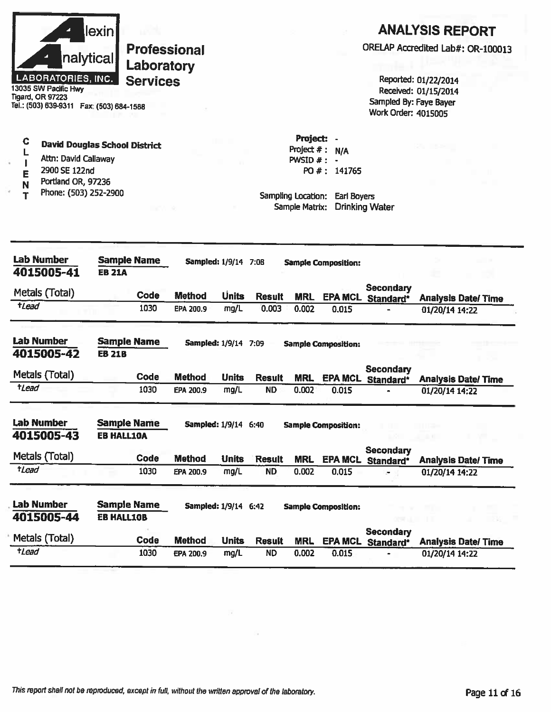|                           | lexinl    |
|---------------------------|-----------|
|                           | nalytical |
| <b>LABORATORIES, INC.</b> |           |

13035 SW Pacific Hwy Tigard, OR 97223 Tel.: (503) 639-9311 Fax: (503) 684-1588

#### C **David Douglas School District** Г Attn: David Callaway

- $\mathbf{I}$ 2900 SE 122nd
- E Portland OR, 97236
- N Phone: (503) 252-2900  $\mathbf{r}$

### **ANALYSIS REPORT**

ORELAP Accredited Lab#: OR-100013

Reported: 01/22/2014 Received: 01/15/2014 Sampled By: Faye Bayer Work Order: 4015005

Project: -Project  $# : N/A$ PWSID  $#$  : -PO #: 141765

| <b>Lab Number</b><br>4015005-41 | <b>Sample Name</b><br><b>EB 21A</b>     |      |                        | Sampled: 1/9/14             | 7:08          |            | <b>Sample Composition:</b> |                               |                           |
|---------------------------------|-----------------------------------------|------|------------------------|-----------------------------|---------------|------------|----------------------------|-------------------------------|---------------------------|
| Metals (Total)                  |                                         | Code | <b>Method</b>          | <b>Units</b>                | <b>Result</b> | <b>MRL</b> | <b>EPA MCL</b>             | <b>Secondary</b><br>Standard* | <b>Analysis Date/Time</b> |
| $t$ <i>Lead</i>                 |                                         | 1030 | EPA 200.9              | mg/L                        | 0.003         | 0.002      | 0.015                      |                               | 01/20/14 14:22            |
| <b>Lab Number</b>               | <b>Sample Name</b>                      |      | <b>Sampled: 1/9/14</b> |                             | 7:09          |            | <b>Sample Composition:</b> |                               |                           |
| 4015005-42                      | <b>EB 21B</b>                           |      |                        |                             |               |            |                            |                               |                           |
| Metals (Total)                  |                                         | Code | <b>Method</b>          | <b>Units</b>                | <b>Result</b> | <b>MRL</b> | <b>EPA MCL</b>             | Secondary<br>Standard*        | <b>Analysis Date/Time</b> |
| tLead                           |                                         | 1030 | EPA 200.9              | mg/L                        | <b>ND</b>     | 0.002      | 0.015                      |                               | 01/20/14 14:22            |
| <b>Lab Number</b><br>4015005-43 | <b>Sample Name</b><br><b>EB HALL10A</b> |      |                        | <b>Sampled: 1/9/14 6:40</b> |               |            | <b>Sample Composition:</b> |                               |                           |
| Metals (Total)                  |                                         | Code | <b>Method</b>          | <b>Units</b>                | <b>Result</b> | <b>MRL</b> | <b>EPA MCL</b>             | Secondary<br>Standard*        | <b>Analysis Date/Time</b> |
| <i>tLead</i>                    |                                         | 1030 | EPA 200.9              | mg/L                        | <b>ND</b>     | 0.002      | 0.015                      | $\overline{\phantom{0}}$      | 01/20/14 14:22            |
| <b>Lab Number</b><br>4015005-44 | <b>Sample Name</b><br><b>EB HALL10B</b> |      |                        | <b>Sampled: 1/9/14 6:42</b> |               |            | <b>Sample Composition:</b> |                               |                           |
| Metals (Total)                  |                                         | Code | <b>Method</b>          | <b>Units</b>                | <b>Result</b> | <b>MRL</b> | <b>EPA MCL</b>             | <b>Secondary</b><br>Standard* | <b>Analysis Date/Time</b> |
| <i><b>*Lead</b></i>             |                                         | 1030 | EPA 200.9              | mg/L                        | <b>ND</b>     | 0.002      | 0.015                      |                               | 01/20/14 14:22            |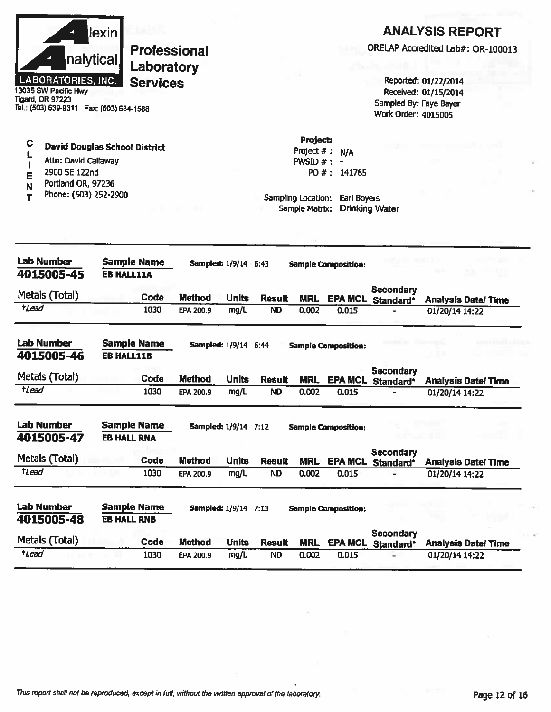|                     |                                                               | <u>lexin</u>       |                     |               |                             |               |                    |                            |                                              | <b>ANALYSIS REPORT</b>            |
|---------------------|---------------------------------------------------------------|--------------------|---------------------|---------------|-----------------------------|---------------|--------------------|----------------------------|----------------------------------------------|-----------------------------------|
|                     |                                                               |                    | <b>Professional</b> |               |                             |               |                    |                            |                                              | ORELAP Accredited Lab#: OR-100013 |
|                     | nalytical                                                     |                    | Laboratory          |               |                             |               |                    |                            |                                              |                                   |
|                     | LABORATORIES, INC.                                            |                    | <b>Services</b>     |               |                             |               |                    |                            |                                              | Reported: 01/22/2014              |
|                     | 13035 SW Pacific Hwy                                          |                    |                     |               |                             |               |                    |                            |                                              | Received: 01/15/2014              |
|                     | Tigard, OR 97223<br>Tel.: (503) 639-9311  Fax: (503) 684-1588 |                    |                     |               |                             |               |                    |                            | Sampled By: Faye Bayer                       |                                   |
|                     |                                                               |                    |                     |               |                             |               |                    |                            | <b>Work Order: 4015005</b>                   |                                   |
| C                   |                                                               |                    |                     |               |                             |               | Project:           |                            |                                              |                                   |
|                     | <b>David Douglas School District</b>                          |                    |                     |               |                             |               | Project $#$ :      | N/A                        |                                              |                                   |
|                     | Attn: David Callaway                                          |                    |                     |               |                             |               | PWSID #:           |                            |                                              |                                   |
| E                   | 2900 SE 122nd<br>Portland OR, 97236                           |                    |                     |               |                             |               |                    | PO #: 141765               |                                              |                                   |
| N                   | Phone: (503) 252-2900                                         |                    |                     |               |                             |               | Sampling Location: | Earl Boyers                |                                              |                                   |
|                     |                                                               |                    |                     |               |                             |               | Sample Matrix:     |                            | <b>Drinking Water</b>                        |                                   |
|                     |                                                               |                    |                     |               |                             |               |                    |                            |                                              |                                   |
|                     |                                                               |                    |                     |               |                             |               |                    |                            |                                              |                                   |
|                     | Lab Number                                                    |                    | <b>Sample Name</b>  |               |                             |               |                    |                            |                                              |                                   |
|                     | 4015005-45                                                    | <b>EB HALL11A</b>  |                     |               | <b>Sampled: 1/9/14 6:43</b> |               |                    | <b>Sample Composition:</b> |                                              |                                   |
|                     |                                                               |                    |                     |               |                             |               |                    |                            | <b>Secondary</b>                             |                                   |
|                     | Metals (Total)                                                |                    | Code                | <b>Method</b> | <b>Units</b>                | <b>Result</b> | <b>MRL</b>         | <b>EPA MCL</b>             | Standard*                                    | <b>Analysis Date/Time</b>         |
| tLead               |                                                               |                    | 1030                | EPA 200.9     | mg/L                        | <b>ND</b>     | 0.002              | 0.015                      | ٠                                            | 01/20/14 14:22                    |
|                     | <b>Lab Number</b>                                             |                    | <b>Sample Name</b>  |               | Sampled: 1/9/14 6:44        |               |                    | <b>Sample Composition:</b> |                                              |                                   |
|                     | 4015005-46                                                    | <b>EB HALL11B</b>  |                     |               |                             |               |                    |                            |                                              |                                   |
|                     |                                                               |                    |                     |               |                             |               |                    |                            | <b>Secondary</b>                             |                                   |
| <i><b>tLead</b></i> | Metals (Total)                                                |                    | Code                | <b>Method</b> | <b>Units</b>                | <b>Result</b> | <b>MRL</b>         |                            | EPA MCL Standard*                            | <b>Analysis Date/Time</b>         |
|                     |                                                               |                    | 1030                | EPA 200.9     | mg/L                        | <b>ND</b>     | 0.002              | 0.015                      |                                              | 01/20/14 14:22                    |
|                     | Lab Number                                                    |                    | <b>Sample Name</b>  |               | Sampled: 1/9/14 7:12        |               |                    | <b>Sample Composition:</b> |                                              |                                   |
|                     | 4015005-47                                                    | <b>EB HALL RNA</b> |                     |               |                             |               |                    |                            |                                              |                                   |
|                     | Metals (Total)                                                |                    | Code                | <b>Method</b> | <b>Units</b>                | <b>Result</b> | <b>MRL</b>         |                            | <b>Secondary</b><br><b>EPA MCL Standard*</b> | <b>Analysis Date/Time</b>         |
| tLead               |                                                               |                    | 1030                | EPA 200.9     | mg/L                        | <b>ND</b>     | 0.002              | 0.015                      |                                              | 01/20/14 14:22                    |
|                     |                                                               |                    |                     |               |                             |               |                    |                            |                                              |                                   |
|                     | <b>Lab Number</b>                                             |                    | <b>Sample Name</b>  |               | <b>Sampled: 1/9/14 7:13</b> |               |                    | <b>Sample Composition:</b> |                                              |                                   |
|                     |                                                               |                    |                     |               |                             |               |                    |                            |                                              |                                   |
|                     | 4015005-48                                                    | <b>EB HALL RNB</b> |                     |               |                             |               |                    |                            |                                              |                                   |
|                     | Metals (Total)                                                |                    | Code                | <b>Method</b> | <b>Units</b>                | <b>Result</b> | <b>MRL</b>         | <b>EPA MCL</b>             | <b>Secondary</b><br>Standard*                | <b>Analysis Date/Time</b>         |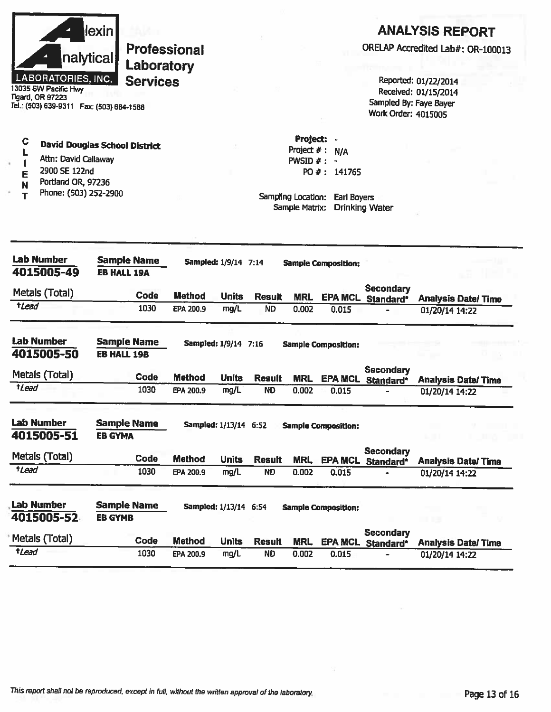

13035 SW Pacific Hwy **Tigard, OR 97223** Tel.: (503) 639-9311 Fax: (503) 684-1588

#### $\mathbf C$ **David Douglas School District** L

- Attn: David Callaway  $\mathbf{I}$
- 2900 SE 122nd E
- Portland OR, 97236 N
- Phone: (503) 252-2900 T

### **ANALYSIS REPORT**

ORELAP Accredited Lab#: OR-100013

Reported: 01/22/2014 Received: 01/15/2014 Sampled By: Faye Bayer Work Order: 4015005

Project: -Project  $#: N/A$ PWSID  $#: -$ PO #: 141765

| <b>Lab Number</b><br>4015005-49 | <b>Sample Name</b><br><b>EB HALL 19A</b> |               | <b>Sampled: 1/9/14 7:14</b> |               |            | <b>Sample Composition:</b> |                               |                           |
|---------------------------------|------------------------------------------|---------------|-----------------------------|---------------|------------|----------------------------|-------------------------------|---------------------------|
| Metals (Total)                  | Code                                     | <b>Method</b> | <b>Units</b>                | <b>Result</b> | <b>MRL</b> | <b>EPA MCL</b>             | <b>Secondary</b><br>Standard* | <b>Analysis Date/Time</b> |
| tLead                           | 1030                                     | EPA 200.9     | mg/L                        | <b>ND</b>     | 0.002      | 0.015                      |                               | 01/20/14 14:22            |
| Lab Number<br>4015005-50        | <b>Sample Name</b><br><b>EB HALL 19B</b> |               | Sampled: 1/9/14 7:16        |               |            | <b>Sample Composition:</b> |                               |                           |
| Metals (Total)                  | Code                                     | <b>Method</b> | <b>Units</b>                | <b>Result</b> | <b>MRL</b> | <b>EPA MCL</b>             | <b>Secondary</b><br>Standard* | <b>Analysis Date/Time</b> |
| <i><b>t</b>Lead</i>             | 1030                                     | EPA 200.9     | mg/L                        | <b>ND</b>     | 0.002      | 0.015                      |                               | 01/20/14 14:22            |
| <b>Lab Number</b><br>4015005-51 | <b>Sample Name</b><br><b>EB GYMA</b>     |               | Sampled: 1/13/14 6:52       |               |            | <b>Sample Composition:</b> |                               |                           |
| Metals (Total)                  | Code                                     | <b>Method</b> | <b>Units</b>                | <b>Result</b> | <b>MRL</b> | <b>EPA MCL</b>             | Secondary<br>Standard*        | <b>Analysis Date/Time</b> |
| tLead                           | 1030                                     | EPA 200.9     | mg/L                        | <b>ND</b>     | 0.002      | 0.015                      |                               | 01/20/14 14:22            |
| <b>Lab Number</b><br>4015005-52 | <b>Sample Name</b><br><b>EB GYMB</b>     |               | <b>Sampled: 1/13/14</b>     | 6:54          |            | <b>Sample Composition:</b> |                               |                           |
| Metals (Total)                  | Code                                     | <b>Method</b> | <b>Units</b>                | <b>Result</b> | <b>MRL</b> | <b>EPA MCL</b>             | Secondary<br>Standard*        | <b>Analysis Date/Time</b> |
| tLead                           | 1030                                     | EPA 200.9     | mg/L                        | <b>ND</b>     | 0.002      | 0.015                      |                               | 01/20/14 14:22            |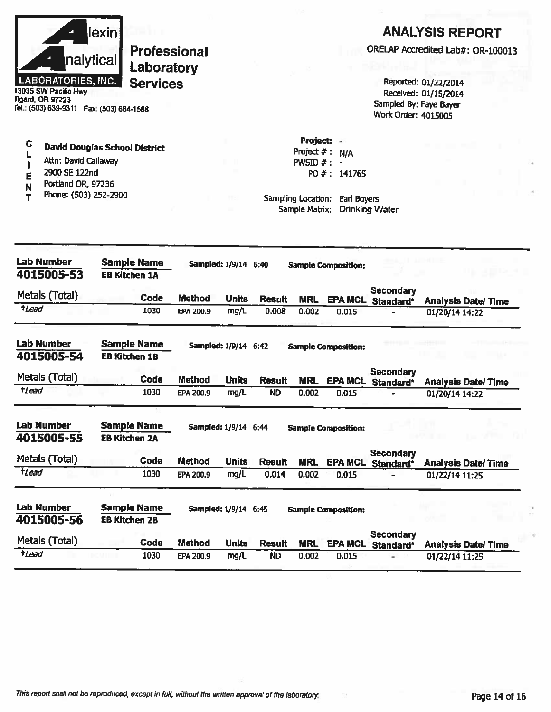

C

L

 $\blacksquare$ 

E

N

T

# **Professional** Laboratory **Services**

13035 SW Pacific Hwy **Tigard, OR 97223** Tel.: (503) 639-9311 Fax: (503) 684-1588

Attn: David Callaway

Portland OR, 97236

Phone: (503) 252-2900

2900 SE 122nd

## **ANALYSIS REPORT**

ORELAP Accredited Lab#: OR-100013

Reported: 01/22/2014 Received: 01/15/2014 Sampled By: Faye Bayer Work Order: 4015005

Project: -Project  $# : N/A$ PWSID  $#$  : -PO #: 141765

Sampling Location: Earl Boyers Sample Matrix: Drinking Water

| <b>Lab Number</b><br>4015005-53 | <b>Sample Name</b><br><b>EB Kitchen 1A</b> |             |               | <b>Sampled: 1/9/14</b>      | 6:40          |            | <b>Sample Composition:</b> |                               |                           |
|---------------------------------|--------------------------------------------|-------------|---------------|-----------------------------|---------------|------------|----------------------------|-------------------------------|---------------------------|
| Metals (Total)                  |                                            | Code        | <b>Method</b> | <b>Units</b>                | <b>Result</b> | <b>MRL</b> | <b>EPA MCL</b>             | <b>Secondary</b><br>Standard* | <b>Analysis Date/Time</b> |
| tLead                           |                                            | 1030        | EPA 200.9     | mg/L                        | 0.008         | 0.002      | 0.015                      |                               | 01/20/14 14:22            |
| <b>Lab Number</b><br>4015005-54 | <b>Sample Name</b><br><b>EB Kitchen 1B</b> |             |               | Sampled: 1/9/14             | 6:42          |            | <b>Sample Composition:</b> |                               |                           |
| Metals (Total)                  |                                            | Code        | <b>Method</b> | <b>Units</b>                | <b>Result</b> | <b>MRL</b> | <b>EPA MCL</b>             | <b>Secondary</b><br>Standard* | <b>Analysis Date/Time</b> |
| <i><b>tLead</b></i>             |                                            | 1030        | EPA 200.9     | mg/L                        | <b>ND</b>     | 0.002      | 0.015                      |                               | 01/20/14 14:22            |
| <b>Lab Number</b><br>4015005-55 | <b>Sample Name</b><br><b>EB Kitchen 2A</b> |             |               | <b>Sampled: 1/9/14 6:44</b> |               |            | <b>Sample Composition:</b> |                               |                           |
| Metals (Total)                  |                                            | <b>Code</b> | <b>Method</b> | <b>Units</b>                | <b>Result</b> | <b>MRL</b> | <b>EPA MCL</b>             | Secondary<br>Standard*        | <b>Analysis Date/Time</b> |
| tLead                           |                                            | 1030        | EPA 200.9     | mg/L                        | 0.014         | 0.002      | 0.015                      |                               | 01/22/14 11:25            |
| <b>Lab Number</b><br>4015005-56 | <b>Sample Name</b><br><b>EB Kitchen 2B</b> |             |               | <b>Sampled: 1/9/14 6:45</b> |               |            | <b>Sample Composition:</b> |                               |                           |
| Metals (Total)                  |                                            | Code        | <b>Method</b> | <b>Units</b>                | <b>Result</b> | <b>MRL</b> | <b>EPA MCL</b>             | <b>Secondary</b><br>Standard* | <b>Analysis Date/Time</b> |
| <i><b>tLead</b></i>             |                                            | 1030        | EPA 200.9     | mg/L                        | <b>ND</b>     | 0.002      | 0.015                      |                               | 01/22/14 11:25            |

**David Douglas School District**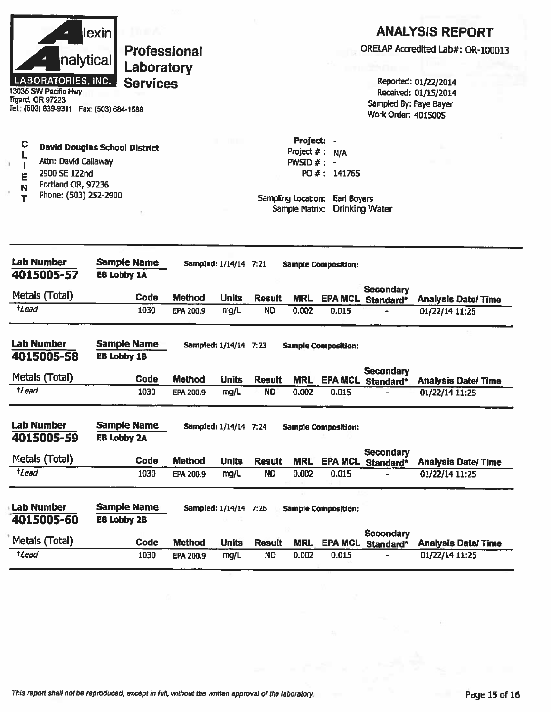|                                                                                                                           | lexin                                    |                              |                      |                            |                                          |                            |                                                      | <b>ANALYSIS REPORT</b>                       |
|---------------------------------------------------------------------------------------------------------------------------|------------------------------------------|------------------------------|----------------------|----------------------------|------------------------------------------|----------------------------|------------------------------------------------------|----------------------------------------------|
| nalytical                                                                                                                 | <b>Professional</b><br>Laboratory        |                              |                      |                            |                                          |                            |                                                      | ORELAP Accredited Lab#: OR-100013            |
| <b>LABORATORIES, INC.</b><br>13035 SW Pacific Hwy<br><b>Tigard, OR 97223</b><br>Tel.: (503) 639-9311  Fax: (503) 684-1588 | <b>Services</b>                          |                              |                      |                            |                                          |                            | Sampled By: Faye Bayer<br><b>Work Order: 4015005</b> | Reported: 01/22/2014<br>Received: 01/15/2014 |
| C<br>L<br>Attn: David Callaway<br>$\mathbf{I}$<br>ä.<br>2900 SE 122nd<br>E                                                | <b>David Douglas School District</b>     |                              |                      |                            | Project:<br>Project # :<br>PWSID $#$ : - | N/A<br>PO #: 141765        |                                                      |                                              |
| Portland OR, 97236<br>N<br>Phone: (503) 252-2900<br>т                                                                     |                                          |                              |                      |                            | Sampling Location:<br>Sample Matrix:     | Earl Boyers                | <b>Drinking Water</b>                                |                                              |
| <b>Lab Number</b><br>4015005-57                                                                                           | <b>Sample Name</b><br><b>EB Lobby 1A</b> | Sampled: 1/14/14 7:21        |                      |                            |                                          | <b>Sample Composition:</b> |                                                      |                                              |
| Metals (Total)                                                                                                            | Code                                     | <b>Method</b>                | <b>Units</b>         | <b>Result</b>              | <b>MRL</b>                               |                            | <b>Secondary</b><br><b>EPA MCL Standard*</b>         | <b>Analysis Date/Time</b>                    |
| $t$ Lead                                                                                                                  | 1030                                     | EPA 200.9                    | mg/L                 | <b>ND</b>                  | 0.002                                    | 0.015                      |                                                      | 01/22/14 11:25                               |
| <b>Lab Number</b><br>4015005-58                                                                                           | <b>Sample Name</b><br><b>EB Lobby 1B</b> | <b>Sampled: 1/14/14 7:23</b> |                      |                            |                                          | <b>Sample Composition:</b> |                                                      |                                              |
| Metals (Total)                                                                                                            | Code                                     | <b>Method</b>                | <b>Units</b>         | <b>Result</b>              | <b>MRL</b>                               |                            | <b>Secondary</b><br><b>EPA MCL Standard*</b>         | <b>Analysis Date/Time</b>                    |
| tLead                                                                                                                     | 1030                                     | <b>EPA 200.9</b>             | mg/L                 | <b>ND</b>                  | 0.002                                    | 0.015                      |                                                      | 01/22/14 11:25                               |
| <b>Lab Number</b><br>4015005-59                                                                                           | <b>Sample Name</b><br><b>EB Lobby 2A</b> | Sampled: 1/14/14 7:24        |                      |                            |                                          | <b>Sample Composition:</b> |                                                      |                                              |
| Metals (Total)                                                                                                            | Code                                     | <b>Method</b>                | <b>Units</b>         |                            |                                          |                            | <b>Secondary</b>                                     |                                              |
| $t$ <i>Lead</i>                                                                                                           | 1030                                     | EPA 200.9                    | mg/L                 | <b>Result</b><br><b>ND</b> | <b>MRL</b><br>0.002                      | 0.015                      | <b>EPA MCL Standard*</b>                             | <b>Analysis Date/Time</b><br>01/22/14 11:25  |
| <b>Lab Number</b><br>4015005-60                                                                                           | <b>Sample Name</b><br><b>EB Lobby 2B</b> | Sampled: 1/14/14 7:26        |                      |                            |                                          | <b>Sample Composition:</b> |                                                      |                                              |
| Metals (Total)                                                                                                            | Code                                     |                              |                      |                            |                                          |                            | <b>Secondary</b>                                     |                                              |
| $t$ <i>Lead</i>                                                                                                           | 1030                                     | <b>Method</b><br>EPA 200.9   | <b>Units</b><br>mg/L | <b>Result</b><br><b>ND</b> | <b>MRL</b><br>0.002                      | 0.015                      | EPA MCL Standard*                                    | <b>Analysis Date/Time</b><br>01/22/14 11:25  |
|                                                                                                                           |                                          |                              |                      |                            |                                          |                            |                                                      |                                              |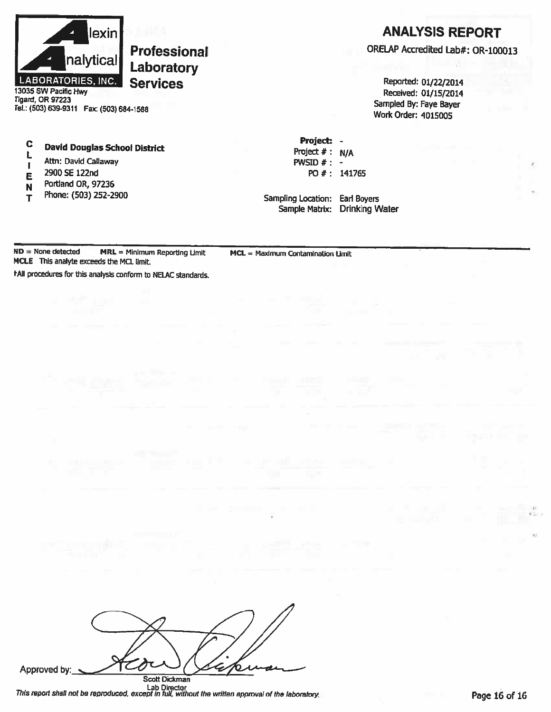

13035 SW Pacific Hwy Tigard, OR 97223 Tel.: (503) 639-9311 Fax: (503) 684-1588

#### $\mathbf C$ **David Douglas School District**

- L Attn: David Callaway  $\mathbf{I}$
- 2900 SE 122nd E
- Portland OR, 97236 N
- Phone: (503) 252-2900 T

### **ANALYSIS REPORT**

ORELAP Accredited Lab#: OR-100013

Reported: 01/22/2014 Received: 01/15/2014 Sampled By: Faye Bayer **Work Order: 4015005** 

Project: -Project  $#: N/A$ PWSID  $#: -$ PO #: 141765

Sampling Location: Earl Boyers Sample Matrix: Drinking Water

 $ND = None detected$  $MRL = Minimum Reporting Limit$ MCLE This analyte exceeds the MCL limit.

MCL = Maximum Contamination Limit

f All procedures for this analysis conform to NELAC standards.

Approved by: **Scott Dickman** 

Lab Director<br>This report shall not be reproduced, except in full, without the written approval of the laboratory.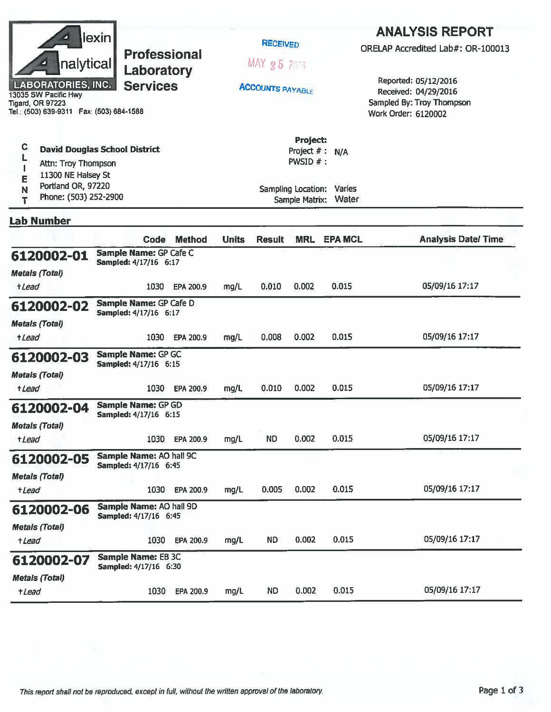|                                                                                                         | lexin <br><b>Professional</b><br>nalytical<br>Laboratory<br><b>LABORATORIES, INC.</b><br><b>Services</b><br>13035 SW Pacific Hwy<br><b>Tigard, OR 97223</b><br>Tel.: (503) 639-9311    Fax: (503) 684-1588<br>C<br><b>David Douglas School District</b> |                                                         |               |              | <b>RECEIVED</b><br>MAX 25 215<br><b>ACCOUNTS PAYABLE</b> |                                                                                    |                                           | <b>ANALYSIS REPORT</b><br>ORELAP Accredited Lab#: OR-100013<br>Reported: 05/12/2016<br>Received: 04/29/2016<br>Sampled By: Troy Thompson<br>Work Order: 6120002 |  |  |
|---------------------------------------------------------------------------------------------------------|---------------------------------------------------------------------------------------------------------------------------------------------------------------------------------------------------------------------------------------------------------|---------------------------------------------------------|---------------|--------------|----------------------------------------------------------|------------------------------------------------------------------------------------|-------------------------------------------|-----------------------------------------------------------------------------------------------------------------------------------------------------------------|--|--|
| Attn: Troy Thompson<br>11300 NE Halsey St<br>Е<br>Portland OR, 97220<br>N<br>Phone: (503) 252-2900<br>Т |                                                                                                                                                                                                                                                         |                                                         |               |              |                                                          | <b>Project:</b><br>Project $#$ :<br><b>PWSID <math>#</math>:</b><br>Sample Matrix: | N/A<br>Sampling Location: Varies<br>Water |                                                                                                                                                                 |  |  |
| <b>Lab Number</b>                                                                                       |                                                                                                                                                                                                                                                         |                                                         |               |              |                                                          |                                                                                    |                                           |                                                                                                                                                                 |  |  |
|                                                                                                         |                                                                                                                                                                                                                                                         | Code                                                    | <b>Method</b> | <b>Units</b> | <b>Result</b>                                            | <b>MRL</b>                                                                         | <b>EPA MCL</b>                            | <b>Analysis Date/Time</b>                                                                                                                                       |  |  |
| 6120002-01<br><b>Metals (Total)</b>                                                                     |                                                                                                                                                                                                                                                         | Sample Name: GP Cafe C<br>Sampled: 4/17/16 6:17         |               |              |                                                          |                                                                                    |                                           |                                                                                                                                                                 |  |  |
| +Lead                                                                                                   |                                                                                                                                                                                                                                                         | 1030                                                    | EPA 200.9     | mg/L         | 0.010                                                    | 0.002                                                                              | 0.015                                     | 05/09/16 17:17                                                                                                                                                  |  |  |
| 6120002-02<br><b>Metals (Total)</b><br><i><b>+Lead</b></i>                                              |                                                                                                                                                                                                                                                         | Sample Name: GP Cafe D<br>Sampled: 4/17/16 6:17<br>1030 | EPA 200.9     | mg/L         | 0.008                                                    | 0.002                                                                              | 0.015                                     | 05/09/16 17:17                                                                                                                                                  |  |  |
| 6120002-03<br><b>Metals (Total)</b>                                                                     |                                                                                                                                                                                                                                                         | Sample Name: GP GC<br>Sampled: 4/17/16 6:15             |               |              |                                                          |                                                                                    |                                           |                                                                                                                                                                 |  |  |
| +Lead                                                                                                   |                                                                                                                                                                                                                                                         | 1030                                                    | EPA 200.9     | mg/L         | 0.010                                                    | 0.002                                                                              | 0.015                                     | 05/09/16 17:17                                                                                                                                                  |  |  |
| 6120002-04<br><b>Metals (Total)</b>                                                                     |                                                                                                                                                                                                                                                         | <b>Sample Name: GP GD</b><br>Sampled: 4/17/16 6:15      |               |              |                                                          |                                                                                    |                                           |                                                                                                                                                                 |  |  |
| +Lead                                                                                                   |                                                                                                                                                                                                                                                         | 1030                                                    | EPA 200.9     | mg/L         | <b>ND</b>                                                | 0.002                                                                              | 0.015                                     | 05/09/16 17:17                                                                                                                                                  |  |  |
| 6120002-05                                                                                              |                                                                                                                                                                                                                                                         | Sample Name: AO hall 9C<br>Sampled: 4/17/16 6:45        |               |              |                                                          |                                                                                    |                                           |                                                                                                                                                                 |  |  |
| <b>Metals (Total)</b><br>+Lead                                                                          |                                                                                                                                                                                                                                                         | 1030                                                    | EPA 200.9     | mg/L         | 0.005                                                    | 0.002                                                                              | 0.015                                     | 05/09/16 17:17                                                                                                                                                  |  |  |
| 6120002-06<br><b>Metals (Total)</b>                                                                     |                                                                                                                                                                                                                                                         | Sample Name: AO hall 9D<br>Sampled: 4/17/16 6:45        |               |              |                                                          |                                                                                    |                                           |                                                                                                                                                                 |  |  |
| $t$ <i>Lead</i>                                                                                         |                                                                                                                                                                                                                                                         | 1030                                                    | EPA 200.9     | mg/L         | <b>ND</b>                                                | 0.002                                                                              | 0.015                                     | 05/09/16 17:17                                                                                                                                                  |  |  |
| 6120002-07                                                                                              |                                                                                                                                                                                                                                                         | <b>Sample Name: EB 3C</b><br>Sampled: 4/17/16 6:30      |               |              |                                                          |                                                                                    |                                           |                                                                                                                                                                 |  |  |
| <b>Metals (Total)</b><br>+Lead                                                                          |                                                                                                                                                                                                                                                         | 1030                                                    | EPA 200.9     | mg/L         | <b>ND</b>                                                | 0.002                                                                              | 0.015                                     | 05/09/16 17:17                                                                                                                                                  |  |  |
|                                                                                                         |                                                                                                                                                                                                                                                         |                                                         |               |              |                                                          |                                                                                    |                                           |                                                                                                                                                                 |  |  |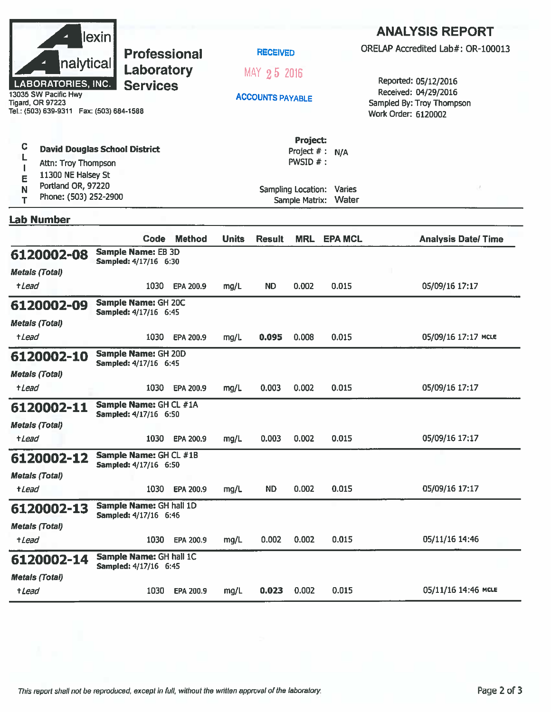|                                                                                              | lexin                                                  |               |              |                         |                                        |                                    | <b>ANALYSIS REPORT</b>                                                   |
|----------------------------------------------------------------------------------------------|--------------------------------------------------------|---------------|--------------|-------------------------|----------------------------------------|------------------------------------|--------------------------------------------------------------------------|
|                                                                                              | <b>Professional</b>                                    |               |              | <b>RECEIVED</b>         |                                        |                                    | ORELAP Accredited Lab#: OR-100013                                        |
| nalytical<br><b>LABORATORIES, INC.</b>                                                       | Laboratory<br><b>Services</b>                          |               |              | MAY 25 2016             |                                        |                                    | Reported: 05/12/2016                                                     |
| 13035 SW Pacific Hwy<br><b>Tigard, OR 97223</b><br>Tel.: (503) 639-9311  Fax: (503) 684-1588 |                                                        |               |              | <b>ACCOUNTS PAYABLE</b> |                                        |                                    | Received: 04/29/2016<br>Sampled By: Troy Thompson<br>Work Order: 6120002 |
| C<br>Attn: Troy Thompson<br>11300 NE Halsey St                                               | <b>David Douglas School District</b>                   |               |              |                         | Project:<br>Project #: N/A<br>PWSID #: |                                    |                                                                          |
| E<br>Portland OR, 97220<br>N<br>Phone: (503) 252-2900<br>T                                   |                                                        |               |              |                         | Sample Matrix:                         | Sampling Location: Varies<br>Water |                                                                          |
| <b>Lab Number</b>                                                                            |                                                        |               |              |                         |                                        |                                    |                                                                          |
|                                                                                              | Code                                                   | <b>Method</b> | <b>Units</b> | <b>Result</b>           | <b>MRL</b>                             | <b>EPA MCL</b>                     | <b>Analysis Date/Time</b>                                                |
| 6120002-08<br><b>Metals (Total)</b>                                                          | <b>Sample Name: EB 3D</b><br>Sampled: 4/17/16 6:30     |               |              |                         |                                        |                                    |                                                                          |
| <i><b>+Lead</b></i>                                                                          | 1030                                                   | EPA 200.9     | mg/L         | <b>ND</b>               | 0.002                                  | 0.015                              | 05/09/16 17:17                                                           |
| 6120002-09                                                                                   | Sample Name: GH 20C<br>Sampled: 4/17/16 6:45           |               |              |                         |                                        |                                    |                                                                          |
| <b>Metals (Total)</b><br>+ <i>Lead</i>                                                       | 1030                                                   | EPA 200.9     | mg/L         | 0.095                   | 0.008                                  | 0.015                              | 05/09/16 17:17 MCLE                                                      |
| 6120002-10                                                                                   | Sample Name: GH 20D<br>Sampled: 4/17/16 6:45           |               |              |                         |                                        |                                    |                                                                          |
| <b>Metals (Total)</b><br>+Lead                                                               | 1030                                                   | EPA 200.9     | mg/L         | 0.003                   | 0.002                                  | 0.015                              | 05/09/16 17:17                                                           |
| 6120002-11                                                                                   | Sample Name: GH CL #1A<br><b>Sampled: 4/17/16 6:50</b> |               |              |                         |                                        |                                    |                                                                          |
| <b>Metals (Total)</b><br>+Lead                                                               | 1030                                                   | EPA 200.9     | mg/L         | 0.003                   | 0.002                                  | 0.015                              | 05/09/16 17:17                                                           |
| 6120002-12                                                                                   | Sample Name: GH CL #1B<br>Sampled: 4/17/16 6:50        |               |              |                         |                                        |                                    |                                                                          |
| <b>Metals (Total)</b>                                                                        |                                                        |               |              |                         |                                        |                                    |                                                                          |
| +Lead                                                                                        | 1030                                                   | EPA 200.9     | mg/L         | ND.                     | 0.002                                  | 0.015                              | 05/09/16 17:17                                                           |
| 6120002-13                                                                                   | Sample Name: GH hall 1D<br>Sampled: 4/17/16 6:46       |               |              |                         |                                        |                                    |                                                                          |
| <b>Metals (Total)</b><br>+Lead                                                               | 1030                                                   | EPA 200.9     | mg/L         | 0.002                   | 0.002                                  | 0.015                              | 05/11/16 14:46                                                           |
| 6120002-14                                                                                   | Sample Name: GH hall 1C                                |               |              |                         |                                        |                                    |                                                                          |
| <b>Metals (Total)</b>                                                                        | Sampled: 4/17/16 6:45                                  |               |              |                         |                                        |                                    |                                                                          |
| +Lead                                                                                        | 1030                                                   | EPA 200.9     | mg/L         | 0.023                   | 0.002                                  | 0.015                              | 05/11/16 14:46 MCLE                                                      |